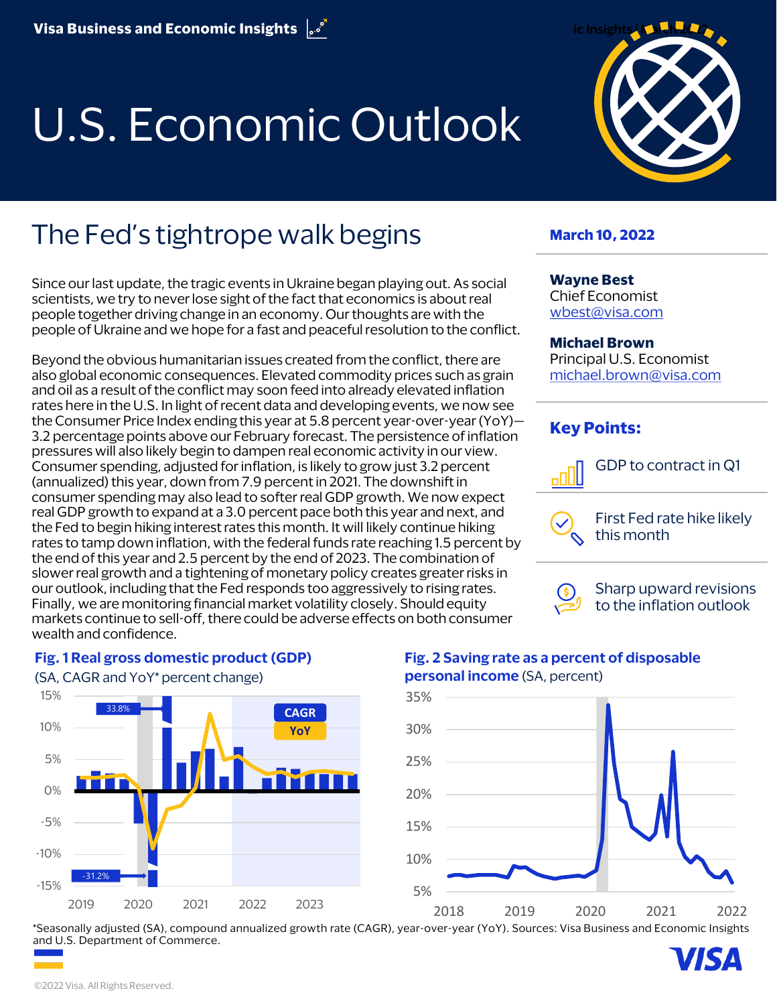# U.S. Economic Outlook



# The Fed's tightrope walk begins

Since our last update, the tragic events in Ukraine began playing out. As social scientists, we try to never lose sight of the fact that economics is about real people together driving change in an economy. Our thoughts are with the people of Ukraine and we hope for a fast and peaceful resolution to the conflict.

Beyond the obvious humanitarian issues created from the conflict, there are also global economic consequences. Elevated commodity prices such as grain and oil as a result of the conflict may soon feed into already elevated inflation rates here in the U.S. In light ofrecent data and developing events, we now see the Consumer Price Index ending this year at 5.8 percent year-over-year (YoY)— 3.2 percentage points above our February forecast. The persistence of inflation pressures will also likely begin to dampen real economic activity in our view. Consumer spending, adjusted for inflation, is likely to grow just 3.2 percent (annualized) this year, down from 7.9 percent in 2021. The downshift in consumer spending may also lead to softer real GDP growth. We now expect real GDP growth to expand at a 3.0 percent pace both this year and next, and the Fed to begin hiking interest rates this month. It will likely continue hiking rates to tamp down inflation, with the federal funds rate reaching 1.5 percent by the end of this year and 2.5 percent by the end of 2023. The combination of slower real growth and a tightening of monetary policy creates greater risks in our outlook, including that the Fed responds too aggressively to rising rates. Finally, we are monitoring financial market volatility closely. Should equity markets continue to sell-off, there could be adverse effects on both consumer wealth and confidence.

#### **March 10, 2022**

#### **Wayne Best**

Chief Economist [wbest@visa.com](mailto:wbest@visa.com)

#### **Michael Brown**

Principal U.S. Economist [michael.brown@visa.com](mailto:michael.brown@visa.com)

#### **Key Points:**



GDP to contract in Q1

First Fed rate hike likely this month



Sharp upward revisions to the inflation outlook



#### **Fig. 1 Real gross domestic product (GDP)**

**Fig. 2 Saving rate as a percent of disposable personal income** (SA, percent)



\*Seasonally adjusted (SA), compound annualized growth rate (CAGR), year-over-year (YoY). Sources: Visa Business and Economic Insights and U.S. Department of Commerce. 7IS A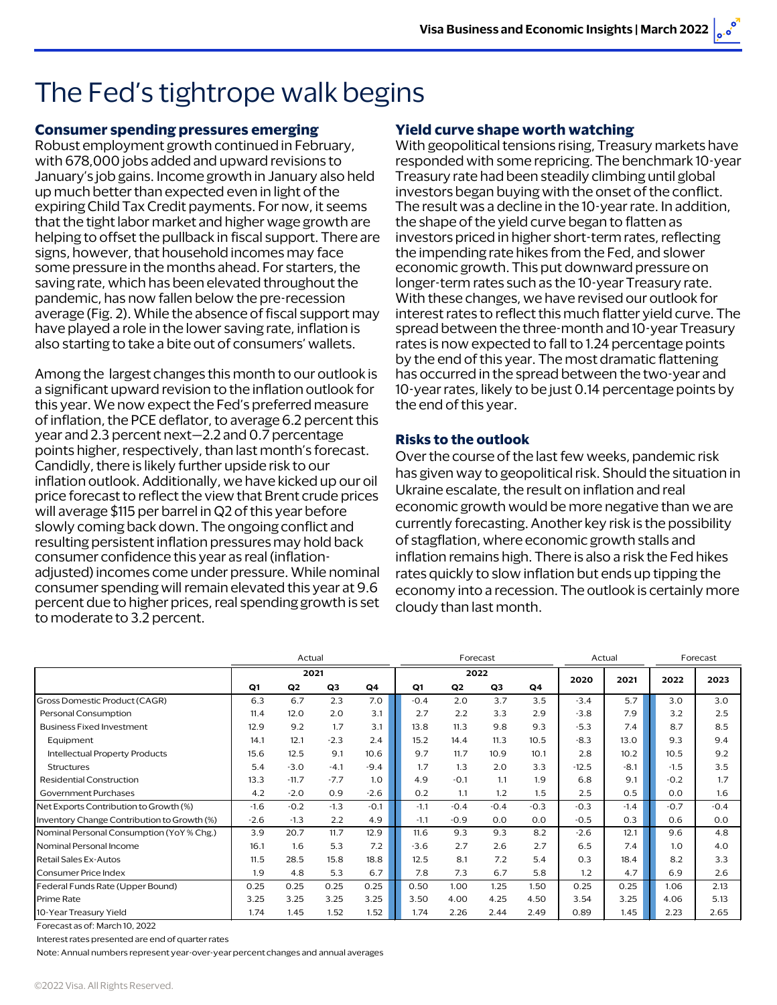# The Fed's tightrope walk begins

#### **Consumer spending pressures emerging**

Robust employment growth continued in February, with 678,000 jobs added and upward revisions to January's job gains. Income growth in January also held up much better than expected even in light of the expiring Child Tax Credit payments. For now, it seems that the tight labor market and higher wage growth are helping to offset the pullback in fiscal support. There are signs, however, that household incomes may face some pressure in the months ahead. For starters, the saving rate, which has been elevated throughout the pandemic, has now fallen below the pre-recession average (Fig. 2). While the absence of fiscal support may have played a role in the lower saving rate, inflation is also starting to take a bite out of consumers' wallets.

Among the largest changes this month to our outlook is a significant upward revision to the inflation outlook for this year. We now expect the Fed's preferred measure of inflation, the PCE deflator, to average 6.2 percent this year and 2.3 percent next—2.2 and 0.7 percentage points higher, respectively, than last month's forecast. Candidly, there is likely further upside risk to our inflation outlook. Additionally, we have kicked up our oil price forecast to reflect the view that Brent crude prices will average \$115 per barrel in Q2 of this year before slowly coming back down. The ongoing conflict and resulting persistent inflation pressures may hold back consumer confidence this year as real (inflationadjusted) incomes come under pressure. While nominal consumer spending will remain elevated this year at 9.6 percent due to higher prices, real spending growth is set to moderate to 3.2 percent.

#### **Yield curve shape worth watching**

With geopolitical tensions rising, Treasury markets have responded with some repricing. The benchmark 10-year Treasury rate had been steadily climbing until global investors began buying with the onset of the conflict. The result was a decline in the 10-year rate. In addition, the shape of the yield curve began to flatten as investors priced in higher short-term rates, reflecting the impending rate hikes from the Fed, and slower economic growth. This put downward pressure on longer-term rates such as the 10-year Treasury rate. With these changes, we have revised our outlook for interest rates to reflect this much flatter yield curve. The spread between the three-month and 10-year Treasury rates is now expected to fall to 1.24 percentage points by the end of this year. The most dramatic flattening has occurred in the spread between the two-year and 10-year rates, likely to be just 0.14 percentage points by the end of this year.

#### **Risks to the outlook**

Over the course of the last few weeks, pandemic risk has given way to geopolitical risk. Should the situation in Ukraine escalate, the result on inflation and real economic growth would be more negative than we are currently forecasting. Another key risk is the possibility of stagflation, where economic growth stalls and inflation remains high. There is also a risk the Fed hikes rates quickly to slow inflation but ends up tipping the economy into a recession. The outlook is certainly more cloudy than last month.

|                                             | Actual |                |                |                | Forecast |                |                |                | Actual  |        | Forecast |        |
|---------------------------------------------|--------|----------------|----------------|----------------|----------|----------------|----------------|----------------|---------|--------|----------|--------|
|                                             | 2021   |                |                |                | 2022     |                |                |                | 2020    | 2021   | 2022     | 2023   |
|                                             | Q1     | Q <sub>2</sub> | Q <sub>3</sub> | Q <sub>4</sub> | Q1       | Q <sub>2</sub> | Q <sub>3</sub> | Q <sub>4</sub> |         |        |          |        |
| Gross Domestic Product (CAGR)               | 6.3    | 6.7            | 2.3            | 7.0            | $-0.4$   | 2.0            | 3.7            | 3.5            | $-3.4$  | 5.7    | 3.0      | 3.0    |
| Personal Consumption                        | 11.4   | 12.0           | 2.0            | 3.1            | 2.7      | 2.2            | 3.3            | 2.9            | $-3.8$  | 7.9    | 3.2      | 2.5    |
| <b>Business Fixed Investment</b>            | 12.9   | 9.2            | 1.7            | 3.1            | 13.8     | 11.3           | 9.8            | 9.3            | $-5.3$  | 7.4    | 8.7      | 8.5    |
| Equipment                                   | 14.1   | 12.1           | $-2.3$         | 2.4            | 15.2     | 14.4           | 11.3           | 10.5           | $-8.3$  | 13.0   | 9.3      | 9.4    |
| Intellectual Property Products              | 15.6   | 12.5           | 9.1            | 10.6           | 9.7      | 11.7           | 10.9           | 10.1           | 2.8     | 10.2   | 10.5     | 9.2    |
| Structures                                  | 5.4    | $-3.0$         | $-4.1$         | $-9.4$         | 1.7      | 1.3            | 2.0            | 3.3            | $-12.5$ | $-8.1$ | $-1.5$   | 3.5    |
| Residential Construction                    | 13.3   | $-11.7$        | $-7.7$         | 1.0            | 4.9      | $-0.1$         | 1.1            | 1.9            | 6.8     | 9.1    | $-0.2$   | 1.7    |
| Government Purchases                        | 4.2    | $-2.0$         | 0.9            | $-2.6$         | 0.2      | 1.1            | 1.2            | 1.5            | 2.5     | 0.5    | 0.0      | 1.6    |
| Net Exports Contribution to Growth (%)      | $-1.6$ | $-0.2$         | $-1.3$         | $-0.1$         | $-1.1$   | $-0.4$         | $-0.4$         | $-0.3$         | $-0.3$  | $-1.4$ | $-0.7$   | $-0.4$ |
| Inventory Change Contribution to Growth (%) | $-2.6$ | $-1.3$         | 2.2            | 4.9            | $-1.1$   | $-0.9$         | 0.0            | 0.0            | $-0.5$  | 0.3    | 0.6      | 0.0    |
| Nominal Personal Consumption (YoY % Chg.)   | 3.9    | 20.7           | 11.7           | 12.9           | 11.6     | 9.3            | 9.3            | 8.2            | $-2.6$  | 12.1   | 9.6      | 4.8    |
| Nominal Personal Income                     | 16.1   | 1.6            | 5.3            | 7.2            | $-3.6$   | 2.7            | 2.6            | 2.7            | 6.5     | 7.4    | 1.0      | 4.0    |
| Retail Sales Ex-Autos                       | 11.5   | 28.5           | 15.8           | 18.8           | 12.5     | 8.1            | 7.2            | 5.4            | 0.3     | 18.4   | 8.2      | 3.3    |
| Consumer Price Index                        | 1.9    | 4.8            | 5.3            | 6.7            | 7.8      | 7.3            | 6.7            | 5.8            | 1.2     | 4.7    | 6.9      | 2.6    |
| Federal Funds Rate (Upper Bound)            | 0.25   | 0.25           | 0.25           | 0.25           | 0.50     | 1.00           | 1.25           | 1.50           | 0.25    | 0.25   | 1.06     | 2.13   |
| <b>Prime Rate</b>                           | 3.25   | 3.25           | 3.25           | 3.25           | 3.50     | 4.00           | 4.25           | 4.50           | 3.54    | 3.25   | 4.06     | 5.13   |
| 10-Year Treasury Yield                      | 1.74   | 1.45           | 1.52           | 1.52           | 1.74     | 2.26           | 2.44           | 2.49           | 0.89    | 1.45   | 2.23     | 2.65   |

Forecast as of: March 10, 2022

Interest rates presented are end of quarter rates

Note: Annual numbers represent year-over-year percent changes and annual averages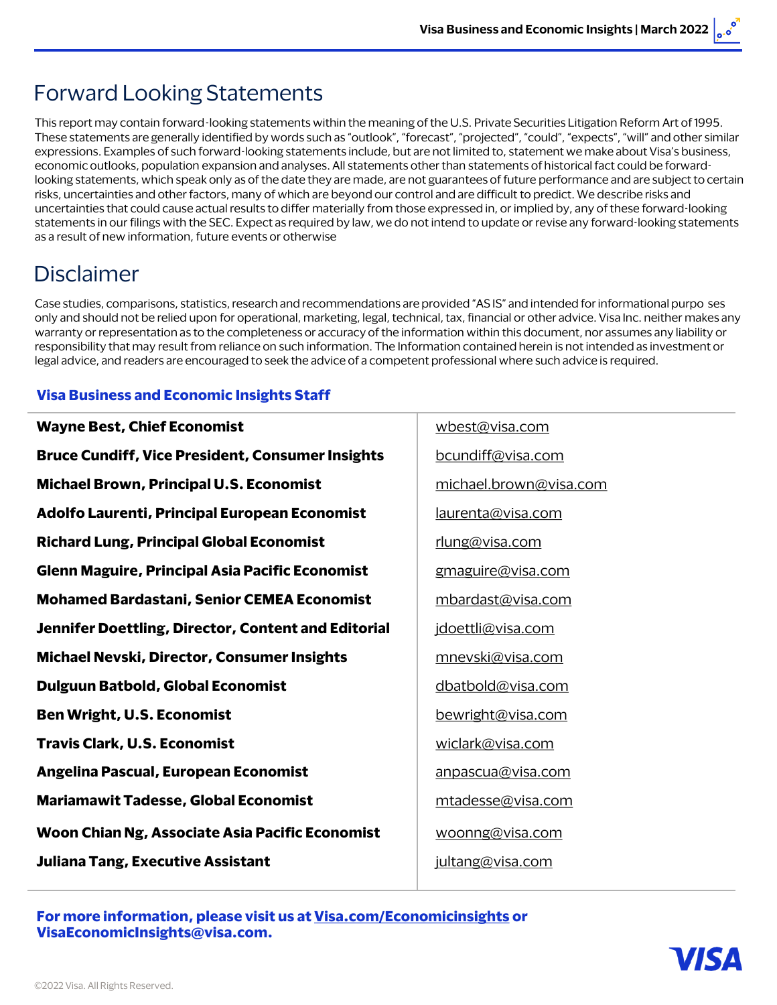## Forward Looking Statements

This report may contain forward-looking statements within the meaning of the U.S. Private Securities Litigation Reform Art of 1995. These statements are generally identified by words such as "outlook", "forecast", "projected", "could", "expects", "will" and other similar expressions. Examples of such forward-looking statements include, but are not limited to, statement we make about Visa's business, economic outlooks, population expansion and analyses. All statements other than statements of historical fact could be forwardlooking statements, which speak only as of the date they are made, are not guarantees of future performance and are subject to certain risks, uncertainties and other factors, many of which are beyond our control and are difficult to predict. We describe risks and uncertainties that could cause actual results to differ materially from those expressed in, or implied by, any of these forward-looking statements in our filings with the SEC. Expect as required by law, we do not intend to update or revise any forward-looking statements as a result of new information, future events or otherwise

## Disclaimer

Case studies, comparisons, statistics, research and recommendations are provided "AS IS" and intended for informational purpo ses only and should not be relied upon for operational, marketing, legal, technical, tax, financial or other advice. Visa Inc. neither makes any warranty or representation as to the completeness or accuracy of the information within this document, nor assumes any liability or responsibility that may result from reliance on such information. The Information contained herein is not intended as investment or legal advice, and readers are encouraged to seek the advice of a competent professional where such advice is required.

#### **Visa Business and Economic Insights Staff**

| wbest@visa.com         |  |  |  |  |  |
|------------------------|--|--|--|--|--|
| bcundiff@visa.com      |  |  |  |  |  |
| michael.brown@visa.com |  |  |  |  |  |
| laurenta@visa.com      |  |  |  |  |  |
| rlung@visa.com         |  |  |  |  |  |
| gmaguire@visa.com      |  |  |  |  |  |
| mbardast@visa.com      |  |  |  |  |  |
| jdoettli@visa.com      |  |  |  |  |  |
| mnevski@visa.com       |  |  |  |  |  |
| dbatbold@visa.com      |  |  |  |  |  |
| bewright@visa.com      |  |  |  |  |  |
| wiclark@visa.com       |  |  |  |  |  |
| anpascua@visa.com      |  |  |  |  |  |
| mtadesse@visa.com      |  |  |  |  |  |
| woonng@visa.com        |  |  |  |  |  |
| jultang@visa.com       |  |  |  |  |  |
|                        |  |  |  |  |  |

**For more information, please visit us at [Visa.com/Economicinsights](http://www.visa.com/EconomicInsights) or [VisaEconomicInsights@visa.com.](mailto:VisaEconomicInsights@visa.com)**